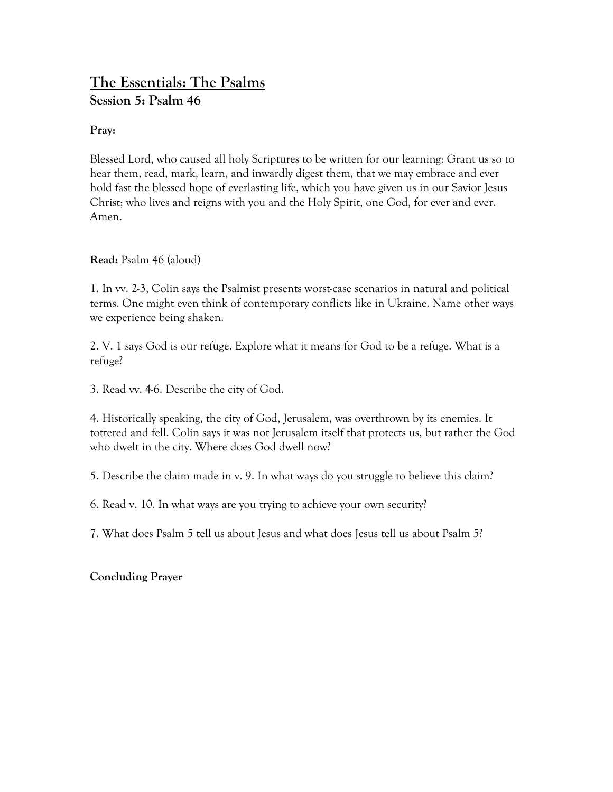# **The Essentials: The Psalms Session 5: Psalm 46**

#### **Pray:**

Blessed Lord, who caused all holy Scriptures to be written for our learning: Grant us so to hear them, read, mark, learn, and inwardly digest them, that we may embrace and ever hold fast the blessed hope of everlasting life, which you have given us in our Savior Jesus Christ; who lives and reigns with you and the Holy Spirit, one God, for ever and ever. Amen.

**Read:** Psalm 46 (aloud)

1. In vv. 2-3, Colin says the Psalmist presents worst-case scenarios in natural and political terms. One might even think of contemporary conflicts like in Ukraine. Name other ways we experience being shaken.

2. V. 1 says God is our refuge. Explore what it means for God to be a refuge. What is a refuge?

3. Read vv. 4-6. Describe the city of God.

4. Historically speaking, the city of God, Jerusalem, was overthrown by its enemies. It tottered and fell. Colin says it was not Jerusalem itself that protects us, but rather the God who dwelt in the city. Where does God dwell now?

5. Describe the claim made in v. 9. In what ways do you struggle to believe this claim?

6. Read v. 10. In what ways are you trying to achieve your own security?

7. What does Psalm 5 tell us about Jesus and what does Jesus tell us about Psalm 5?

### **Concluding Prayer**